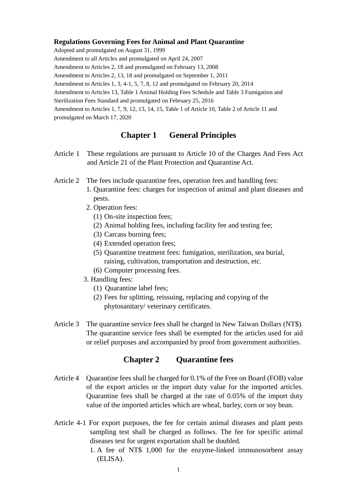#### **Regulations Governing Fees for Animal and Plant Quarantine**

Adopted and promulgated on August 31, 1999

Amendment to all Articles and promulgated on April 24, 2007

Amendment to Articles 2, 18 and promulgated on February 13, 2008

Amendment to Articles 2, 13, 18 and promulgated on September 1, 2011

Amendment to Articles 1, 3, 4-1, 5, 7, 8, 12 and promulgated on February 20, 2014

Amendment to Articles 13, Table 1 Animal Holding Fees Schedule and Table 3 Fumigation and

Sterilization Fees Standard and promulgated on February 25, 2016

Amendment to Articles 1, 7, 9, 12, 13, 14, 15, Table 1 of Article 10, Table 2 of Article 11 and promulgated on March 17, 2020

# **Chapter 1 General Principles**

- Article 1 These regulations are pursuant to Article 10 of the Charges And Fees Act and Article 21 of the Plant Protection and Quarantine Act.
- Article 2 The fees include quarantine fees, operation fees and handling fees:
	- 1. Quarantine fees: charges for inspection of animal and plant diseases and pests.
	- 2. Operation fees:
		- (1) On-site inspection fees;
		- (2) Animal holding fees, including facility fee and testing fee;
		- (3) Carcass burning fees;
		- (4) Extended operation fees;
		- (5) Quarantine treatment fees: fumigation, sterilization, sea burial, raising, cultivation, transportation and destruction, etc.
		- (6) Computer processing fees.
	- 3. Handling fees:
		- (1) Quarantine label fees;
		- (2) Fees for splitting, reissuing, replacing and copying of the phytosanitary/ veterinary certificates.
- Article 3 The quarantine service fees shall be charged in New Taiwan Dollars (NT\$). The quarantine service fees shall be exempted for the articles used for aid or relief purposes and accompanied by proof from government authorities.

## **Chapter 2 Quarantine fees**

- Article 4 Quarantine fees shall be charged for 0.1% of the Free on Board (FOB) value of the export articles or the import duty value for the imported articles. Quarantine fees shall be charged at the rate of 0.05% of the import duty value of the imported articles which are wheal, barley, corn or soy bean.
- Article 4-1 For export purposes, the fee for certain animal diseases and plant pests sampling test shall be charged as follows. The fee for specific animal diseases test for urgent exportation shall be doubled.
	- 1. A fee of NT\$ 1,000 for the enzyme-linked immunosorbent assay (ELISA).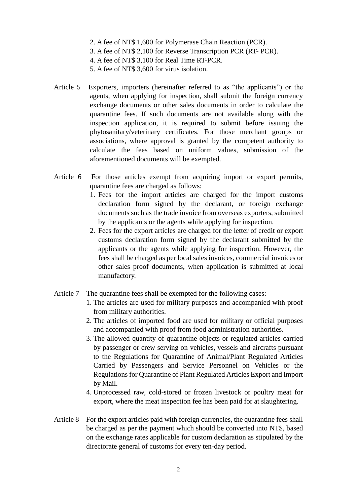- 2. A fee of NT\$ 1,600 for Polymerase Chain Reaction (PCR).
- 3. A fee of NT\$ 2,100 for Reverse Transcription PCR (RT- PCR).
- 4. A fee of NT\$ 3,100 for Real Time RT-PCR.
- 5. A fee of NT\$ 3,600 for virus isolation.
- Article 5 Exporters, importers (hereinafter referred to as "the applicants") or the agents, when applying for inspection, shall submit the foreign currency exchange documents or other sales documents in order to calculate the quarantine fees. If such documents are not available along with the inspection application, it is required to submit before issuing the phytosanitary/veterinary certificates. For those merchant groups or associations, where approval is granted by the competent authority to calculate the fees based on uniform values, submission of the aforementioned documents will be exempted.
- Article 6 For those articles exempt from acquiring import or export permits, quarantine fees are charged as follows:
	- 1. Fees for the import articles are charged for the import customs declaration form signed by the declarant, or foreign exchange documents such as the trade invoice from overseas exporters, submitted by the applicants or the agents while applying for inspection.
	- 2. Fees for the export articles are charged for the letter of credit or export customs declaration form signed by the declarant submitted by the applicants or the agents while applying for inspection. However, the fees shall be charged as per local sales invoices, commercial invoices or other sales proof documents, when application is submitted at local manufactory.
- Article 7 The quarantine fees shall be exempted for the following cases:
	- 1. The articles are used for military purposes and accompanied with proof from military authorities.
	- 2. The articles of imported food are used for military or official purposes and accompanied with proof from food administration authorities.
	- 3. The allowed quantity of quarantine objects or regulated articles carried by passenger or crew serving on vehicles, vessels and aircrafts pursuant to the Regulations for Quarantine of Animal/Plant Regulated Articles Carried by Passengers and Service Personnel on Vehicles or the Regulations for Quarantine of Plant Regulated Articles Export and Import by Mail.
	- 4. Unprocessed raw, cold-stored or frozen livestock or poultry meat for export, where the meat inspection fee has been paid for at slaughtering.
- Article 8 For the export articles paid with foreign currencies, the quarantine fees shall be charged as per the payment which should be converted into NT\$, based on the exchange rates applicable for custom declaration as stipulated by the directorate general of customs for every ten-day period.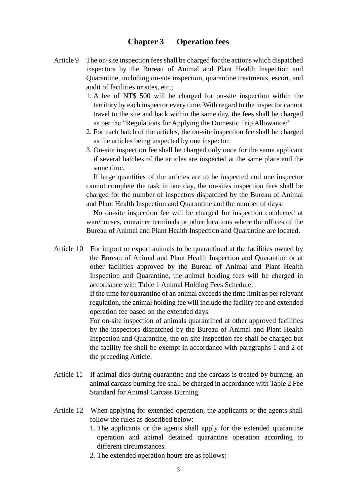### **Chapter 3 Operation fees**

- Article 9 The on-site inspection fees shall be charged for the actions which dispatched inspectors by the Bureau of Animal and Plant Health Inspection and Quarantine, including on-site inspection, quarantine treatments, escort, and audit of facilities or sites, etc.;
	- 1. A fee of NT\$ 500 will be charged for on-site inspection within the territory by each inspector every time. With regard to the inspector cannot travel to the site and back within the same day, the fees shall be charged as per the "Regulations for Applying the Domestic Trip Allowance;"
	- 2. For each batch of the articles, the on-site inspection fee shall be charged as the articles being inspected by one inspector.
	- 3. On-site inspection fee shall be charged only once for the same applicant if several batches of the articles are inspected at the same place and the same time.

If large quantities of the articles are to be inspected and one inspector cannot complete the task in one day, the on-sites inspection fees shall be charged for the number of inspectors dispatched by the Bureau of Animal and Plant Health Inspection and Quarantine and the number of days.

No on-site inspection fee will be charged for inspection conducted at warehouses, container terminals or other locations where the offices of the Bureau of Animal and Plant Health Inspection and Quarantine are located.

Article 10 For import or export animals to be quarantined at the facilities owned by the Bureau of Animal and Plant Health Inspection and Quarantine or at other facilities approved by the Bureau of Animal and Plant Health Inspection and Quarantine, the animal holding fees will be charged in accordance with Table 1 Animal Holding Fees Schedule.

> If the time for quarantine of an animal exceeds the time limit as per relevant regulation, the animal holding fee will include the facility fee and extended operation fee based on the extended days.

> For on-site inspection of animals quarantined at other approved facilities by the inspectors dispatched by the Bureau of Animal and Plant Health Inspection and Quarantine, the on-site inspection fee shall be charged but the facility fee shall be exempt in accordance with paragraphs 1 and 2 of the preceding Article.

- Article 11 If animal dies during quarantine and the carcass is treated by burning, an animal carcass burning fee shall be charged in accordance with Table 2 Fee Standard for Animal Carcass Burning.
- Article 12 When applying for extended operation, the applicants or the agents shall follow the rules as described below:
	- 1. The applicants or the agents shall apply for the extended quarantine operation and animal detained quarantine operation according to different circumstances.
	- 2. The extended operation hours are as follows: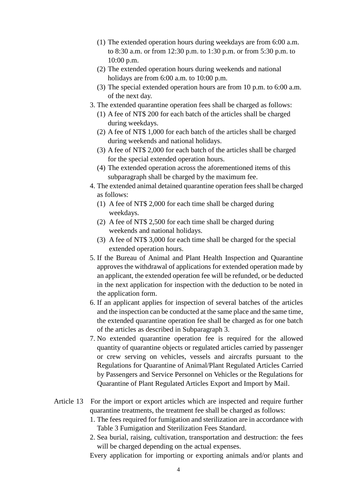- (1) The extended operation hours during weekdays are from 6:00 a.m. to 8:30 a.m. or from 12:30 p.m. to 1:30 p.m. or from 5:30 p.m. to 10:00 p.m.
- (2) The extended operation hours during weekends and national holidays are from 6:00 a.m. to 10:00 p.m.
- (3) The special extended operation hours are from 10 p.m. to 6:00 a.m. of the next day.
- 3. The extended quarantine operation fees shall be charged as follows:
	- (1) A fee of NT\$ 200 for each batch of the articles shall be charged during weekdays.
	- (2) A fee of NT\$ 1,000 for each batch of the articles shall be charged during weekends and national holidays.
	- (3) A fee of NT\$ 2,000 for each batch of the articles shall be charged for the special extended operation hours.
	- (4) The extended operation across the aforementioned items of this subparagraph shall be charged by the maximum fee.
- 4. The extended animal detained quarantine operation fees shall be charged as follows:
	- (1) A fee of NT\$ 2,000 for each time shall be charged during weekdays.
	- (2) A fee of NT\$ 2,500 for each time shall be charged during weekends and national holidays.
	- (3) A fee of NT\$ 3,000 for each time shall be charged for the special extended operation hours.
- 5. If the Bureau of Animal and Plant Health Inspection and Quarantine approves the withdrawal of applications for extended operation made by an applicant, the extended operation fee will be refunded, or be deducted in the next application for inspection with the deduction to be noted in the application form.
- 6. If an applicant applies for inspection of several batches of the articles and the inspection can be conducted at the same place and the same time, the extended quarantine operation fee shall be charged as for one batch of the articles as described in Subparagraph 3.
- 7. No extended quarantine operation fee is required for the allowed quantity of quarantine objects or regulated articles carried by passenger or crew serving on vehicles, vessels and aircrafts pursuant to the Regulations for Quarantine of Animal/Plant Regulated Articles Carried by Passengers and Service Personnel on Vehicles or the Regulations for Quarantine of Plant Regulated Articles Export and Import by Mail.
- Article 13 For the import or export articles which are inspected and require further quarantine treatments, the treatment fee shall be charged as follows:
	- 1. The fees required for fumigation and sterilization are in accordance with Table 3 Fumigation and Sterilization Fees Standard.
	- 2. Sea burial, raising, cultivation, transportation and destruction: the fees will be charged depending on the actual expenses.
	- Every application for importing or exporting animals and/or plants and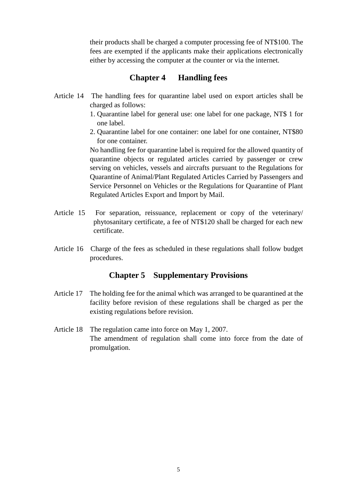their products shall be charged a computer processing fee of NT\$100. The fees are exempted if the applicants make their applications electronically either by accessing the computer at the counter or via the internet.

# **Chapter 4 Handling fees**

- Article 14 The handling fees for quarantine label used on export articles shall be charged as follows:
	- 1. Quarantine label for general use: one label for one package, NT\$ 1 for one label.
	- 2. Quarantine label for one container: one label for one container, NT\$80 for one container.

No handling fee for quarantine label is required for the allowed quantity of quarantine objects or regulated articles carried by passenger or crew serving on vehicles, vessels and aircrafts pursuant to the Regulations for Quarantine of Animal/Plant Regulated Articles Carried by Passengers and Service Personnel on Vehicles or the Regulations for Quarantine of Plant Regulated Articles Export and Import by Mail.

- Article 15 For separation, reissuance, replacement or copy of the veterinary/ phytosanitary certificate, a fee of NT\$120 shall be charged for each new certificate.
- Article 16 Charge of the fees as scheduled in these regulations shall follow budget procedures.

## **Chapter 5 Supplementary Provisions**

- Article 17 The holding fee for the animal which was arranged to be quarantined at the facility before revision of these regulations shall be charged as per the existing regulations before revision.
- Article 18 The regulation came into force on May 1, 2007. The amendment of regulation shall come into force from the date of promulgation.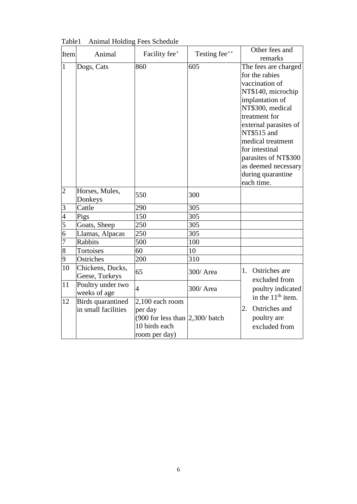| Item                    | Animal                                          | Facility fee*                                                                                              | Testing fee** | Other fees and                                                                                                                                                                                                                                                                                          |
|-------------------------|-------------------------------------------------|------------------------------------------------------------------------------------------------------------|---------------|---------------------------------------------------------------------------------------------------------------------------------------------------------------------------------------------------------------------------------------------------------------------------------------------------------|
|                         |                                                 |                                                                                                            |               | remarks                                                                                                                                                                                                                                                                                                 |
| $\mathbf{1}$            | Dogs, Cats                                      | 860                                                                                                        | 605           | The fees are charged<br>for the rabies<br>vaccination of<br>NT\$140, microchip<br>implantation of<br>NT\$300, medical<br>treatment for<br>external parasites of<br>NT\$515 and<br>medical treatment<br>for intestinal<br>parasites of NT\$300<br>as deemed necessary<br>during quarantine<br>each time. |
| $\overline{c}$          | Horses, Mules,<br>Donkeys                       | 550                                                                                                        | 300           |                                                                                                                                                                                                                                                                                                         |
| $\overline{\mathbf{3}}$ | Cattle                                          | 290                                                                                                        | 305           |                                                                                                                                                                                                                                                                                                         |
| $\overline{4}$          | Pigs                                            | 150                                                                                                        | 305           |                                                                                                                                                                                                                                                                                                         |
| $\overline{5}$          | Goats, Sheep                                    | 250                                                                                                        | 305           |                                                                                                                                                                                                                                                                                                         |
| $\overline{6}$          | Llamas, Alpacas                                 | 250                                                                                                        | 305           |                                                                                                                                                                                                                                                                                                         |
| $\overline{7}$          | Rabbits                                         | 500                                                                                                        | 100           |                                                                                                                                                                                                                                                                                                         |
| $\overline{8}$          | Tortoises                                       | 60                                                                                                         | 10            |                                                                                                                                                                                                                                                                                                         |
| 9                       | Ostriches                                       | 200                                                                                                        | 310           |                                                                                                                                                                                                                                                                                                         |
| 10                      | Chickens, Ducks,<br>Geese, Turkeys              | 65                                                                                                         | 300/ Area     | 1. Ostriches are<br>excluded from<br>poultry indicated<br>in the $11th$ item.<br>Ostriches and<br>2.<br>poultry are<br>excluded from                                                                                                                                                                    |
| 11                      | Poultry under two<br>weeks of age               | $\overline{4}$                                                                                             | 300/ Area     |                                                                                                                                                                                                                                                                                                         |
| 12                      | <b>Birds</b> quarantined<br>in small facilities | 2,100 each room<br>per day<br>$(900$ for less than $ 2,300\rangle$ batch<br>10 birds each<br>room per day) |               |                                                                                                                                                                                                                                                                                                         |

Table1 Animal Holding Fees Schedule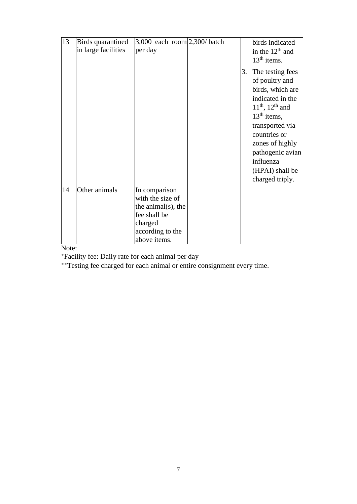| 13 | <b>Birds</b> quarantined<br>in large facilities | 3,000 each room $ 2,300/$ batch<br>per day                                                                                 | 3. | birds indicated<br>in the $12th$ and<br>$13th$ items.<br>The testing fees<br>of poultry and                                                                                                                     |
|----|-------------------------------------------------|----------------------------------------------------------------------------------------------------------------------------|----|-----------------------------------------------------------------------------------------------------------------------------------------------------------------------------------------------------------------|
|    |                                                 |                                                                                                                            |    | birds, which are<br>indicated in the<br>$11^{th}$ , $12^{th}$ and<br>$13th$ items,<br>transported via<br>countries or<br>zones of highly<br>pathogenic avian<br>influenza<br>(HPAI) shall be<br>charged triply. |
| 14 | Other animals                                   | In comparison<br>with the size of<br>the animal $(s)$ , the<br>fee shall be<br>charged<br>according to the<br>above items. |    |                                                                                                                                                                                                                 |

Note:

\* Facility fee: Daily rate for each animal per day

\*\*Testing fee charged for each animal or entire consignment every time.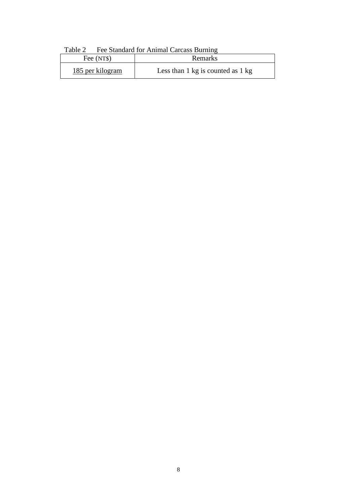|                  | $1$ ave $2 - 1$ et standard for Annihal Carcass Burning |  |
|------------------|---------------------------------------------------------|--|
| Fee (NT\$)       | Remarks                                                 |  |
| 185 per kilogram | Less than $1 \text{ kg}$ is counted as $1 \text{ kg}$   |  |

Table 2 Fee Standard for Animal Carcass Burning